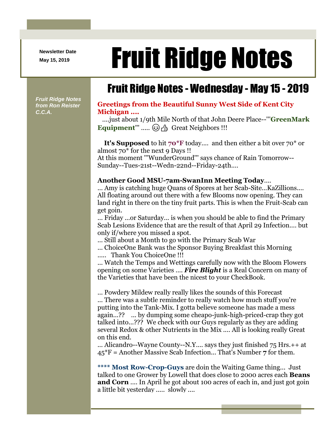**Newsletter Date**

# Newsletter Date **Fruit Ridge Notes**

## Fruit Ridge Notes - Wednesday - May 15 - 2019

*Fruit Ridge Notes from Ron Reister C.C.A.*

#### **Greetings from the Beautiful Sunny West Side of Kent City Michigan ....**

....just about 1/9th Mile North of that John Deere Place--'''**GreenMark**  Equipment''' ..... **@** A Great Neighbors !!!

**It's Supposed** to hit **70\*F** today.... and then either a bit over 70\* or almost 70\* for the next 9 Days !! At this moment '''WunderGround''' says chance of Rain Tomorrow--

Sunday--Tues-21st--Wedn-22nd--Friday-24th....

#### **Another Good MSU-7am-SwanInn Meeting Today**....

... Amy is catching huge Quans of Spores at her Scab-Site...KaZillions.... All floating around out there with a few Blooms now opening. They can land right in there on the tiny fruit parts. This is when the Fruit-Scab can get goin.

... Friday ...or Saturday... is when you should be able to find the Primary Scab Lesions Evidence that are the result of that April 29 Infection.... but only if/where you missed a spot.

... Still about a Month to go with the Primary Scab War

... ChoiceOne Bank was the Sponsor Buying Breakfast this Morning ..... Thank You ChoiceOne !!!

... Watch the Temps and Wettings carefully now with the Bloom Flowers opening on some Varieties .... *Fire Blight* is a Real Concern on many of the Varieties that have been the nicest to your CheckBook.

... Powdery Mildew really really likes the sounds of this Forecast ... There was a subtle reminder to really watch how much stuff you're putting into the Tank-Mix. I gotta believe someone has made a mess again...?? ... by dumping some cheapo-junk-high-priced-crap they got talked into...??? We check with our Guys regularly as they are adding several Redox & other Nutrients in the Mix .... All is looking really Great on this end.

... Alicandro--Wayne County--N.Y.... says they just finished 75 Hrs.++ at 45\*F = Another Massive Scab Infection... That's Number **7** for them.

**\*\*\*\* Most Row-Crop-Guys** are doin the Waiting Game thing... Just talked to one Grower by Lowell that does close to 2000 acres each **Beans and Corn** .... In April he got about 100 acres of each in, and just got goin a little bit yesterday ..... slowly ....